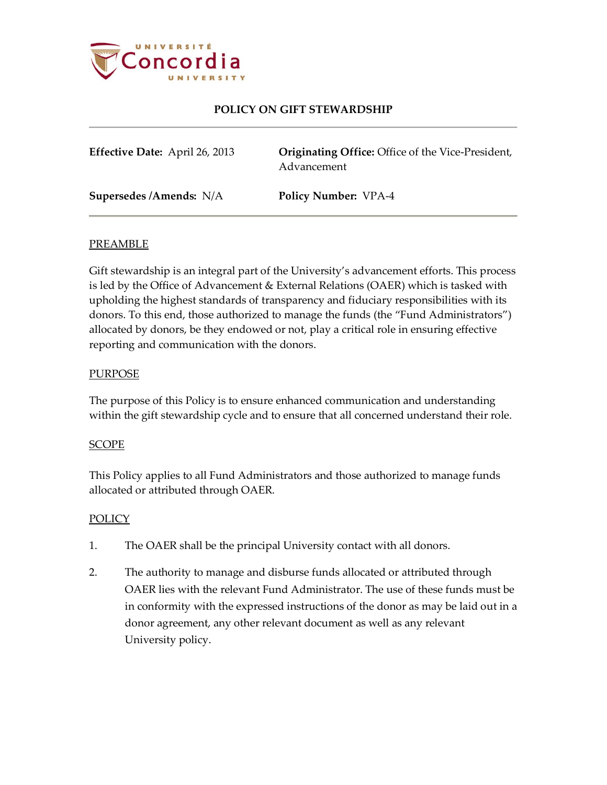

# **POLICY ON GIFT STEWARDSHIP**

| Effective Date: April 26, 2013 | <b>Originating Office:</b> Office of the Vice-President,<br>Advancement |
|--------------------------------|-------------------------------------------------------------------------|
| Supersedes /Amends: N/A        | <b>Policy Number: VPA-4</b>                                             |

### PREAMBLE

Gift stewardship is an integral part of the University's advancement efforts. This process is led by the Office of Advancement & External Relations (OAER) which is tasked with upholding the highest standards of transparency and fiduciary responsibilities with its donors. To this end, those authorized to manage the funds (the "Fund Administrators") allocated by donors, be they endowed or not, play a critical role in ensuring effective reporting and communication with the donors.

### **PURPOSE**

The purpose of this Policy is to ensure enhanced communication and understanding within the gift stewardship cycle and to ensure that all concerned understand their role.

#### SCOPE

This Policy applies to all Fund Administrators and those authorized to manage funds allocated or attributed through OAER.

#### POLICY

- 1. The OAER shall be the principal University contact with all donors.
- 2. The authority to manage and disburse funds allocated or attributed through OAER lies with the relevant Fund Administrator. The use of these funds must be in conformity with the expressed instructions of the donor as may be laid out in a donor agreement, any other relevant document as well as any relevant University policy.